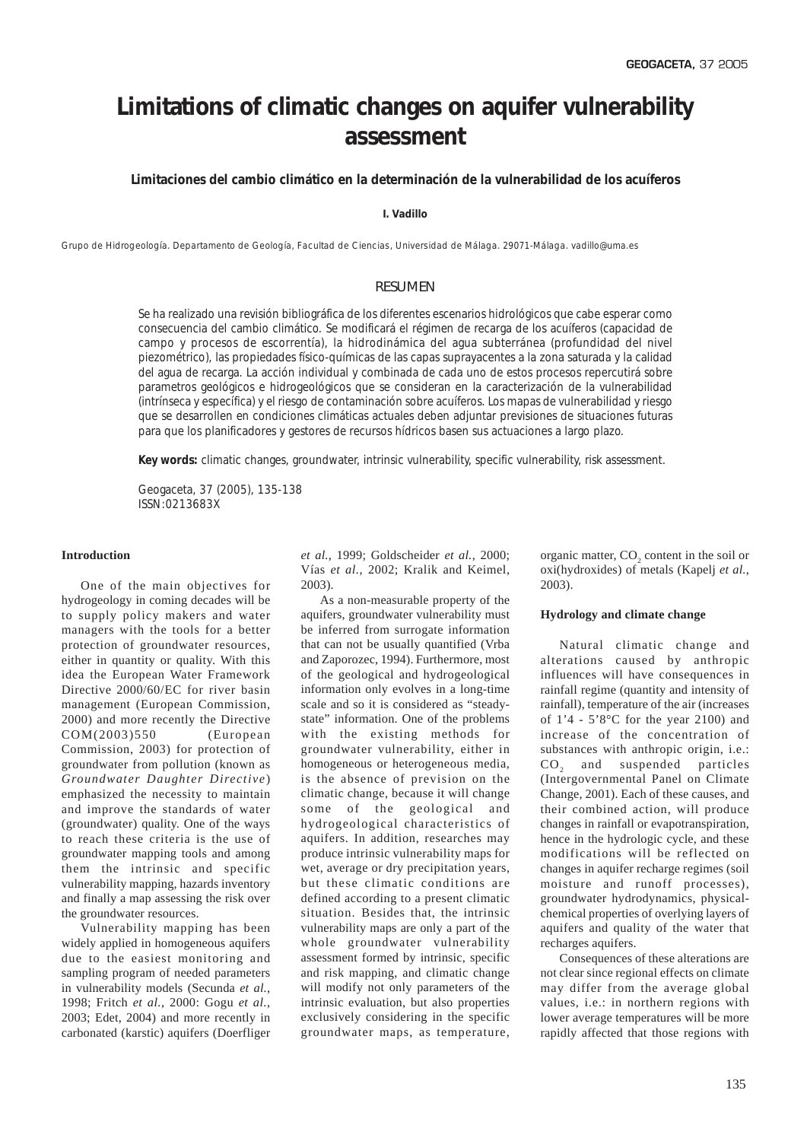# **Limitations of climatic changes on aquifer vulnerability assessment**

*Limitaciones del cambio climático en la determinación de la vulnerabilidad de los acuíferos*

**I. Vadillo**

Grupo de Hidrogeología. Departamento de Geología, Facultad de Ciencias, Universidad de Málaga. 29071-Málaga. vadillo@uma.es

## RESUMEN

*Se ha realizado una revisión bibliográfica de los diferentes escenarios hidrológicos que cabe esperar como consecuencia del cambio climático. Se modificará el régimen de recarga de los acuíferos (capacidad de campo y procesos de escorrentía), la hidrodinámica del agua subterránea (profundidad del nivel piezométrico), las propiedades físico-químicas de las capas suprayacentes a la zona saturada y la calidad del agua de recarga. La acción individual y combinada de cada uno de estos procesos repercutirá sobre parametros geológicos e hidrogeológicos que se consideran en la caracterización de la vulnerabilidad (intrínseca y específica) y el riesgo de contaminación sobre acuíferos. Los mapas de vulnerabilidad y riesgo que se desarrollen en condiciones climáticas actuales deben adjuntar previsiones de situaciones futuras para que los planificadores y gestores de recursos hídricos basen sus actuaciones a largo plazo.*

*Key words: climatic changes, groundwater, intrinsic vulnerability, specific vulnerability, risk assessment.*

*Geogaceta, 37 (2005), 135-138 ISSN:0213683X*

## **Introduction**

One of the main objectives for hydrogeology in coming decades will be to supply policy makers and water managers with the tools for a better protection of groundwater resources, either in quantity or quality. With this idea the European Water Framework Directive 2000/60/EC for river basin management (European Commission, 2000) and more recently the Directive COM(2003)550 (European Commission, 2003) for protection of groundwater from pollution (known as *Groundwater Daughter Directive*) emphasized the necessity to maintain and improve the standards of water (groundwater) quality. One of the ways to reach these criteria is the use of groundwater mapping tools and among them the intrinsic and specific vulnerability mapping, hazards inventory and finally a map assessing the risk over the groundwater resources.

Vulnerability mapping has been widely applied in homogeneous aquifers due to the easiest monitoring and sampling program of needed parameters in vulnerability models (Secunda *et al.*, 1998; Fritch *et al.*, 2000: Gogu *et al.*, 2003; Edet, 2004) and more recently in carbonated (karstic) aquifers (Doerfliger *et al.*, 1999; Goldscheider *et al.*, 2000; Vías *et al.*, 2002; Kralik and Keimel, 2003).

As a non-measurable property of the aquifers, groundwater vulnerability must be inferred from surrogate information that can not be usually quantified (Vrba and Zaporozec, 1994). Furthermore, most of the geological and hydrogeological information only evolves in a long-time scale and so it is considered as "steadystate" information. One of the problems with the existing methods for groundwater vulnerability, either in homogeneous or heterogeneous media, is the absence of prevision on the climatic change, because it will change some of the geological and hydrogeological characteristics of aquifers. In addition, researches may produce intrinsic vulnerability maps for wet, average or dry precipitation years, but these climatic conditions are defined according to a present climatic situation. Besides that, the intrinsic vulnerability maps are only a part of the whole groundwater vulnerability assessment formed by intrinsic, specific and risk mapping, and climatic change will modify not only parameters of the intrinsic evaluation, but also properties exclusively considering in the specific groundwater maps, as temperature,

organic matter,  $CO<sub>2</sub>$  content in the soil or oxi(hydroxides) of metals (Kapelj *et al.*, 2003).

## **Hydrology and climate change**

Natural climatic change and alterations caused by anthropic influences will have consequences in rainfall regime (quantity and intensity of rainfall), temperature of the air (increases of  $1'4 - 5'8$ °C for the year 2100) and increase of the concentration of substances with anthropic origin, i.e.: CO<sub>2</sub> and suspended particles (Intergovernmental Panel on Climate Change, 2001). Each of these causes, and their combined action, will produce changes in rainfall or evapotranspiration, hence in the hydrologic cycle, and these modifications will be reflected on changes in aquifer recharge regimes (soil moisture and runoff processes), groundwater hydrodynamics, physicalchemical properties of overlying layers of aquifers and quality of the water that recharges aquifers.

Consequences of these alterations are not clear since regional effects on climate may differ from the average global values, i.e.: in northern regions with lower average temperatures will be more rapidly affected that those regions with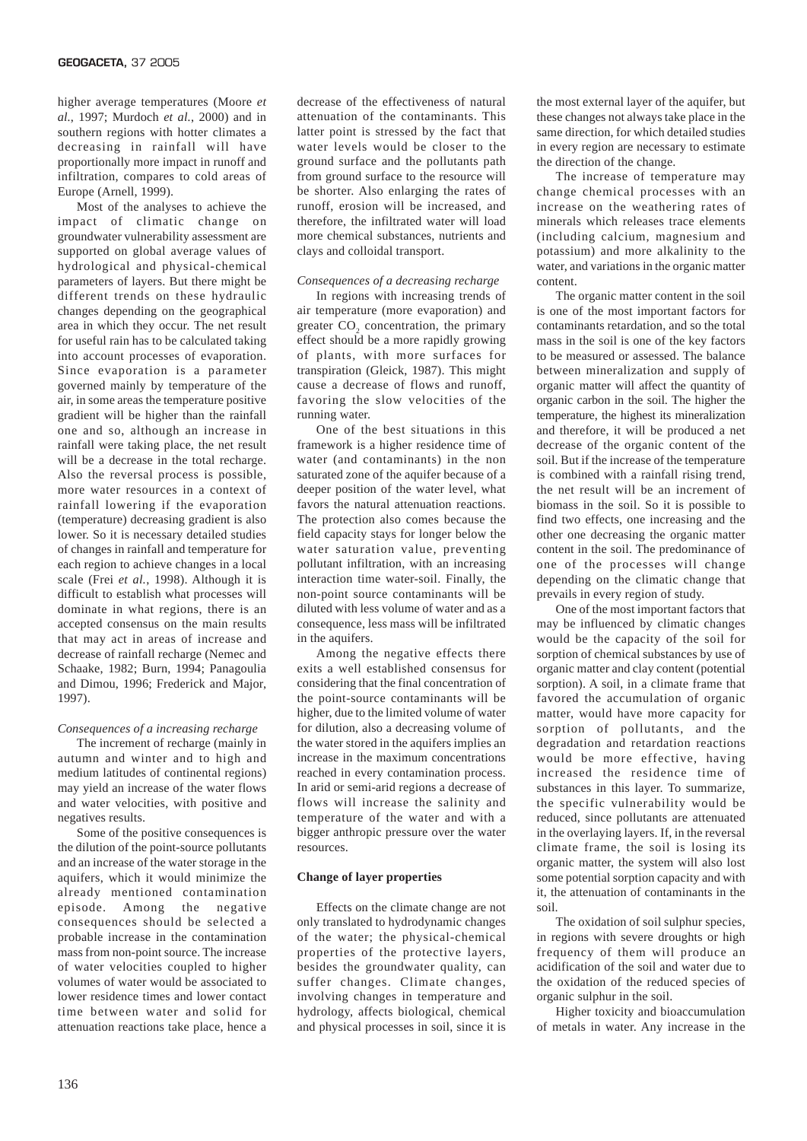higher average temperatures (Moore *et al.*, 1997; Murdoch *et al.*, 2000) and in southern regions with hotter climates a decreasing in rainfall will have proportionally more impact in runoff and infiltration, compares to cold areas of Europe (Arnell, 1999).

Most of the analyses to achieve the impact of climatic change on groundwater vulnerability assessment are supported on global average values of hydrological and physical-chemical parameters of layers. But there might be different trends on these hydraulic changes depending on the geographical area in which they occur. The net result for useful rain has to be calculated taking into account processes of evaporation. Since evaporation is a parameter governed mainly by temperature of the air, in some areas the temperature positive gradient will be higher than the rainfall one and so, although an increase in rainfall were taking place, the net result will be a decrease in the total recharge. Also the reversal process is possible, more water resources in a context of rainfall lowering if the evaporation (temperature) decreasing gradient is also lower. So it is necessary detailed studies of changes in rainfall and temperature for each region to achieve changes in a local scale (Frei *et al.*, 1998). Although it is difficult to establish what processes will dominate in what regions, there is an accepted consensus on the main results that may act in areas of increase and decrease of rainfall recharge (Nemec and Schaake, 1982; Burn, 1994; Panagoulia and Dimou, 1996; Frederick and Major, 1997).

## *Consequences of a increasing recharge*

The increment of recharge (mainly in autumn and winter and to high and medium latitudes of continental regions) may yield an increase of the water flows and water velocities, with positive and negatives results.

Some of the positive consequences is the dilution of the point-source pollutants and an increase of the water storage in the aquifers, which it would minimize the already mentioned contamination episode. Among the negative consequences should be selected a probable increase in the contamination mass from non-point source. The increase of water velocities coupled to higher volumes of water would be associated to lower residence times and lower contact time between water and solid for attenuation reactions take place, hence a decrease of the effectiveness of natural attenuation of the contaminants. This latter point is stressed by the fact that water levels would be closer to the ground surface and the pollutants path from ground surface to the resource will be shorter. Also enlarging the rates of runoff, erosion will be increased, and therefore, the infiltrated water will load more chemical substances, nutrients and clays and colloidal transport.

#### *Consequences of a decreasing recharge*

In regions with increasing trends of air temperature (more evaporation) and greater  $CO<sub>2</sub>$  concentration, the primary effect should be a more rapidly growing of plants, with more surfaces for transpiration (Gleick, 1987). This might cause a decrease of flows and runoff, favoring the slow velocities of the running water.

One of the best situations in this framework is a higher residence time of water (and contaminants) in the non saturated zone of the aquifer because of a deeper position of the water level, what favors the natural attenuation reactions. The protection also comes because the field capacity stays for longer below the water saturation value, preventing pollutant infiltration, with an increasing interaction time water-soil. Finally, the non-point source contaminants will be diluted with less volume of water and as a consequence, less mass will be infiltrated in the aquifers.

Among the negative effects there exits a well established consensus for considering that the final concentration of the point-source contaminants will be higher, due to the limited volume of water for dilution, also a decreasing volume of the water stored in the aquifers implies an increase in the maximum concentrations reached in every contamination process. In arid or semi-arid regions a decrease of flows will increase the salinity and temperature of the water and with a bigger anthropic pressure over the water resources.

#### **Change of layer properties**

Effects on the climate change are not only translated to hydrodynamic changes of the water; the physical-chemical properties of the protective layers, besides the groundwater quality, can suffer changes. Climate changes, involving changes in temperature and hydrology, affects biological, chemical and physical processes in soil, since it is the most external layer of the aquifer, but these changes not always take place in the same direction, for which detailed studies in every region are necessary to estimate the direction of the change.

The increase of temperature may change chemical processes with an increase on the weathering rates of minerals which releases trace elements (including calcium, magnesium and potassium) and more alkalinity to the water, and variations in the organic matter content.

The organic matter content in the soil is one of the most important factors for contaminants retardation, and so the total mass in the soil is one of the key factors to be measured or assessed. The balance between mineralization and supply of organic matter will affect the quantity of organic carbon in the soil. The higher the temperature, the highest its mineralization and therefore, it will be produced a net decrease of the organic content of the soil. But if the increase of the temperature is combined with a rainfall rising trend, the net result will be an increment of biomass in the soil. So it is possible to find two effects, one increasing and the other one decreasing the organic matter content in the soil. The predominance of one of the processes will change depending on the climatic change that prevails in every region of study.

One of the most important factors that may be influenced by climatic changes would be the capacity of the soil for sorption of chemical substances by use of organic matter and clay content (potential sorption). A soil, in a climate frame that favored the accumulation of organic matter, would have more capacity for sorption of pollutants, and the degradation and retardation reactions would be more effective, having increased the residence time of substances in this layer. To summarize, the specific vulnerability would be reduced, since pollutants are attenuated in the overlaying layers. If, in the reversal climate frame, the soil is losing its organic matter, the system will also lost some potential sorption capacity and with it, the attenuation of contaminants in the soil.

The oxidation of soil sulphur species, in regions with severe droughts or high frequency of them will produce an acidification of the soil and water due to the oxidation of the reduced species of organic sulphur in the soil.

Higher toxicity and bioaccumulation of metals in water. Any increase in the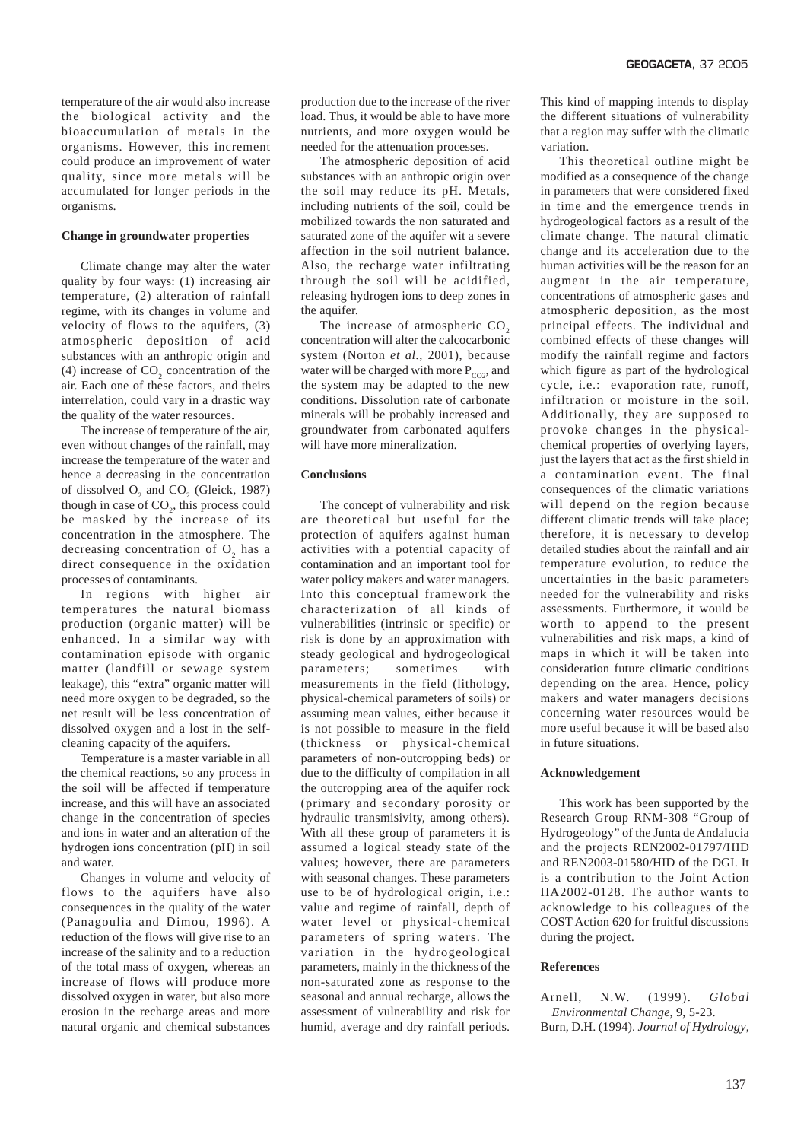temperature of the air would also increase the biological activity and the bioaccumulation of metals in the organisms. However, this increment could produce an improvement of water quality, since more metals will be accumulated for longer periods in the organisms.

### **Change in groundwater properties**

Climate change may alter the water quality by four ways: (1) increasing air temperature, (2) alteration of rainfall regime, with its changes in volume and velocity of flows to the aquifers, (3) atmospheric deposition of acid substances with an anthropic origin and (4) increase of  $CO<sub>2</sub>$  concentration of the air. Each one of these factors, and theirs interrelation, could vary in a drastic way the quality of the water resources.

The increase of temperature of the air, even without changes of the rainfall, may increase the temperature of the water and hence a decreasing in the concentration of dissolved  $O_2$  and  $CO_2$  (Gleick, 1987) though in case of  $CO<sub>2</sub>$ , this process could be masked by the increase of its concentration in the atmosphere. The decreasing concentration of  $O_2$  has a direct consequence in the oxidation processes of contaminants.

In regions with higher air temperatures the natural biomass production (organic matter) will be enhanced. In a similar way with contamination episode with organic matter (landfill or sewage system leakage), this "extra" organic matter will need more oxygen to be degraded, so the net result will be less concentration of dissolved oxygen and a lost in the selfcleaning capacity of the aquifers.

Temperature is a master variable in all the chemical reactions, so any process in the soil will be affected if temperature increase, and this will have an associated change in the concentration of species and ions in water and an alteration of the hydrogen ions concentration (pH) in soil and water.

Changes in volume and velocity of flows to the aquifers have also consequences in the quality of the water (Panagoulia and Dimou, 1996). A reduction of the flows will give rise to an increase of the salinity and to a reduction of the total mass of oxygen, whereas an increase of flows will produce more dissolved oxygen in water, but also more erosion in the recharge areas and more natural organic and chemical substances production due to the increase of the river load. Thus, it would be able to have more nutrients, and more oxygen would be needed for the attenuation processes.

The atmospheric deposition of acid substances with an anthropic origin over the soil may reduce its pH. Metals, including nutrients of the soil, could be mobilized towards the non saturated and saturated zone of the aquifer wit a severe affection in the soil nutrient balance. Also, the recharge water infiltrating through the soil will be acidified, releasing hydrogen ions to deep zones in the aquifer.

The increase of atmospheric  $CO<sub>2</sub>$ concentration will alter the calcocarbonic system (Norton *et al.*, 2001), because water will be charged with more  $P_{CO2}$ , and the system may be adapted to the new conditions. Dissolution rate of carbonate minerals will be probably increased and groundwater from carbonated aquifers will have more mineralization.

#### **Conclusions**

The concept of vulnerability and risk are theoretical but useful for the protection of aquifers against human activities with a potential capacity of contamination and an important tool for water policy makers and water managers. Into this conceptual framework the characterization of all kinds of vulnerabilities (intrinsic or specific) or risk is done by an approximation with steady geological and hydrogeological parameters; sometimes with measurements in the field (lithology, physical-chemical parameters of soils) or assuming mean values, either because it is not possible to measure in the field (thickness or physical-chemical parameters of non-outcropping beds) or due to the difficulty of compilation in all the outcropping area of the aquifer rock (primary and secondary porosity or hydraulic transmisivity, among others). With all these group of parameters it is assumed a logical steady state of the values; however, there are parameters with seasonal changes. These parameters use to be of hydrological origin, i.e.: value and regime of rainfall, depth of water level or physical-chemical parameters of spring waters. The variation in the hydrogeological parameters, mainly in the thickness of the non-saturated zone as response to the seasonal and annual recharge, allows the assessment of vulnerability and risk for humid, average and dry rainfall periods.

This kind of mapping intends to display the different situations of vulnerability that a region may suffer with the climatic variation.

This theoretical outline might be modified as a consequence of the change in parameters that were considered fixed in time and the emergence trends in hydrogeological factors as a result of the climate change. The natural climatic change and its acceleration due to the human activities will be the reason for an augment in the air temperature, concentrations of atmospheric gases and atmospheric deposition, as the most principal effects. The individual and combined effects of these changes will modify the rainfall regime and factors which figure as part of the hydrological cycle, i.e.: evaporation rate, runoff, infiltration or moisture in the soil. Additionally, they are supposed to provoke changes in the physicalchemical properties of overlying layers, just the layers that act as the first shield in a contamination event. The final consequences of the climatic variations will depend on the region because different climatic trends will take place; therefore, it is necessary to develop detailed studies about the rainfall and air temperature evolution, to reduce the uncertainties in the basic parameters needed for the vulnerability and risks assessments. Furthermore, it would be worth to append to the present vulnerabilities and risk maps, a kind of maps in which it will be taken into consideration future climatic conditions depending on the area. Hence, policy makers and water managers decisions concerning water resources would be more useful because it will be based also in future situations.

#### **Acknowledgement**

This work has been supported by the Research Group RNM-308 "Group of Hydrogeology" of the Junta de Andalucia and the projects REN2002-01797/HID and REN2003-01580/HID of the DGI. It is a contribution to the Joint Action HA2002-0128. The author wants to acknowledge to his colleagues of the COST Action 620 for fruitful discussions during the project.

#### **References**

Arnell, N.W. (1999). *Global Environmental Change*, 9, 5-23. Burn, D.H. (1994). *Journal of Hydrology*,